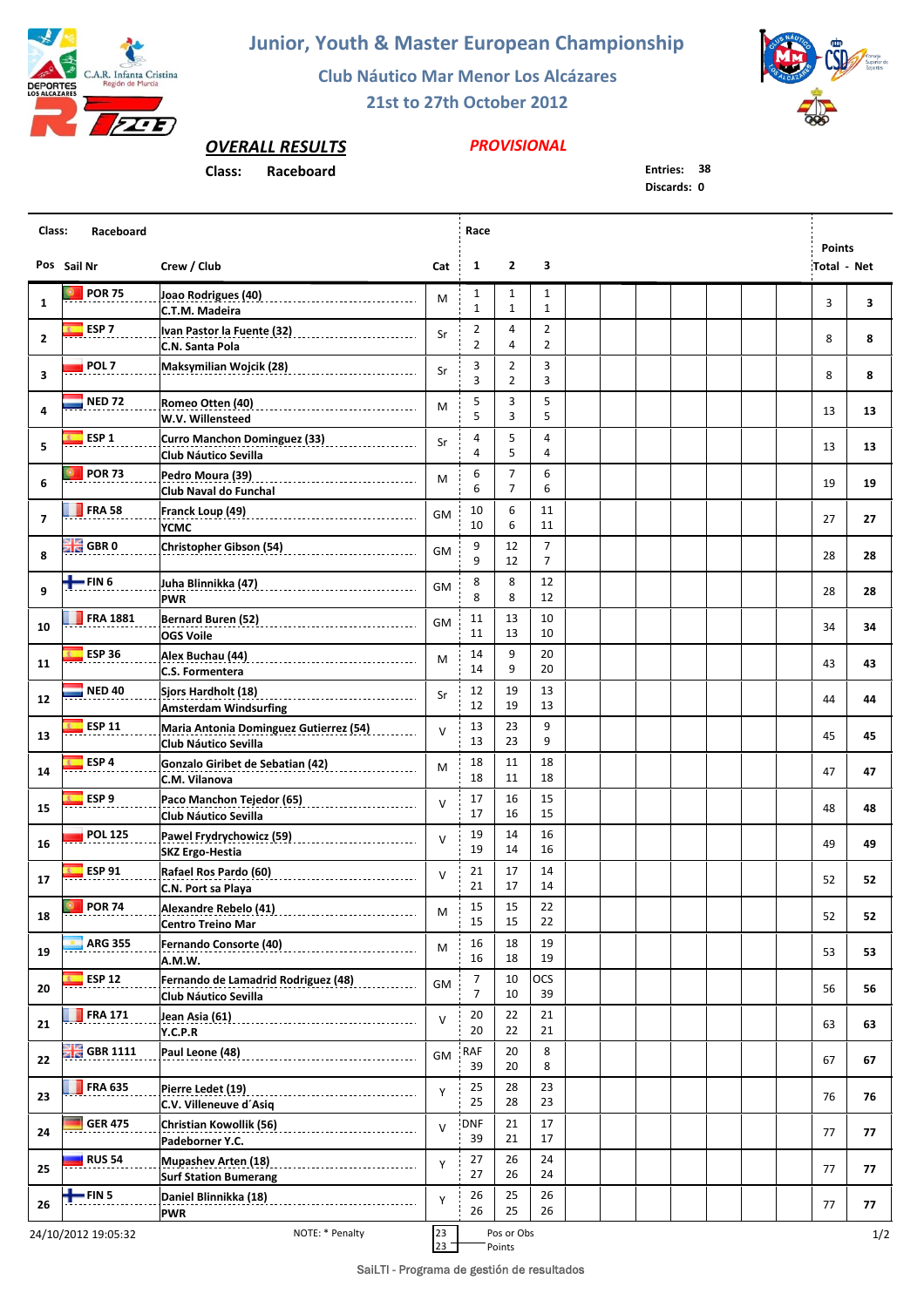

**Junior, Youth & Master European Championship**

**Club Náutico Mar Menor Los Alcázares**

**21st to 27th October 2012**



*OVERALL RESULTS*

## **Class: Raceboard Entries: 38**

## *PROVISIONAL*

**Discards: 0**

| Class:<br>Raceboard |                                        |                                                                                                                                                                 |           |                                  | Race                             |                                  |  |  |  |  |  |                                     |     |
|---------------------|----------------------------------------|-----------------------------------------------------------------------------------------------------------------------------------------------------------------|-----------|----------------------------------|----------------------------------|----------------------------------|--|--|--|--|--|-------------------------------------|-----|
|                     | Pos Sail Nr                            | Crew / Club                                                                                                                                                     | Cat       | $\mathbf{1}$                     | $\mathbf{2}$                     | 3                                |  |  |  |  |  | <b>Points</b><br><b>Total - Net</b> |     |
| $\mathbf{1}$        | <b>POR 75</b>                          | C.T.M. Madeira                                                                                                                                                  | М         | $\mathbf{1}$<br>$\mathbf{1}$     | 1<br>$\mathbf{1}$                | $\mathbf{1}$<br>$\mathbf{1}$     |  |  |  |  |  | 3                                   | 3   |
| $\mathbf{2}$        | ESP <sub>7</sub>                       | Ivan Pastor la Fuente (32)<br>university continuation results and the fuente results and the fundamental results and results and results and<br>C.N. Santa Pola | Sr        | $\overline{2}$<br>$\overline{2}$ | 4<br>4                           | $\overline{2}$<br>$\overline{2}$ |  |  |  |  |  | 8                                   | 8   |
| 3                   | POL <sub>7</sub>                       | Maksymilian Wojcik (28) __________________________                                                                                                              | Sr        | 3<br>3                           | $\overline{2}$<br>$\overline{2}$ | 3<br>3                           |  |  |  |  |  | 8                                   | 8   |
| 4                   | <b>NED 72</b>                          | Romeo Otten (40)<br>________________________________<br>W.V. Willensteed                                                                                        | M         | 5<br>5                           | 3<br>3                           | 5<br>5                           |  |  |  |  |  | 13                                  | 13  |
| 5                   | ESP <sub>1</sub>                       | Curro Manchon Dominguez (33) [1989]<br>Club Náutico Sevilla                                                                                                     | Sr        | 4<br>4                           | 5<br>5                           | 4<br>4                           |  |  |  |  |  | 13                                  | 13  |
| 6                   | <b>POR 73</b>                          | Pedro Moura (39)<br>_________________________________<br>Club Naval do Funchal                                                                                  | М         | 6<br>6                           | 7<br>$\overline{7}$              | 6<br>6                           |  |  |  |  |  | 19                                  | 19  |
| $\overline{7}$      | <b>FRA 58</b>                          | YCMC                                                                                                                                                            | <b>GM</b> | 10<br>10                         | 6<br>6                           | 11<br>11                         |  |  |  |  |  | 27                                  | 27  |
| 8                   | <b>GBR</b> 0                           | Christopher Gibson (54)                                                                                                                                         | GM        | 9<br>9                           | 12<br>12                         | $\overline{7}$<br>$\overline{7}$ |  |  |  |  |  | 28                                  | 28  |
| 9                   | $+$ FIN 6                              | <b>PWR</b>                                                                                                                                                      | <b>GM</b> | 8<br>8                           | 8<br>8                           | 12<br>12                         |  |  |  |  |  | 28                                  | 28  |
| 10                  | <b>FRA 1881</b>                        | Bernard Buren (52) __________________________________<br><b>OGS Voile</b>                                                                                       | GM        | 11<br>11                         | 13<br>13                         | 10<br>10                         |  |  |  |  |  | 34                                  | 34  |
| 11                  | <b>ESP 36</b>                          | C.S. Formentera                                                                                                                                                 | M         | 14<br>14                         | 9<br>9                           | 20<br>20                         |  |  |  |  |  | 43                                  | 43  |
| 12                  | <b>NED 40</b>                          | Sjors Hardholt (18)<br>_________________________________<br><b>Amsterdam Windsurfing</b>                                                                        | Sr        | 12<br>12                         | 19<br>19                         | 13<br>13                         |  |  |  |  |  | 44                                  | 44  |
| 13                  | <b>ESP 11</b>                          | Maria Antonia Dominguez Gutierrez (54)<br>Club Náutico Sevilla                                                                                                  | $\vee$    | 13<br>13                         | 23<br>23                         | 9<br>9                           |  |  |  |  |  | 45                                  | 45  |
| 14                  | ESP <sub>4</sub>                       | Gonzalo Giribet de Sebatian (42)<br>Sonzalo Giribet de Sebatian (42)<br>C.M. Vilanova                                                                           | M         | 18<br>18                         | 11<br>11                         | 18<br>18                         |  |  |  |  |  | 47                                  | 47  |
| 15                  | ESP <sub>9</sub>                       | Paco Manchon Tejedor (65) ______________________<br>Club Náutico Sevilla                                                                                        | $\vee$    | 17<br>17                         | 16<br>16                         | 15<br>15                         |  |  |  |  |  | 48                                  | 48  |
| 16                  | <b>POL 125</b>                         | Pawel Frydrychowicz (59) _________________________<br><b>SKZ Ergo-Hestia</b>                                                                                    | $\vee$    | 19<br>19                         | 14<br>14                         | 16<br>16                         |  |  |  |  |  | 49                                  | 49  |
| 17                  | <b>ESP 91</b>                          | C.N. Port sa Playa                                                                                                                                              | $\vee$    | 21<br>21                         | 17<br>17                         | 14<br>14                         |  |  |  |  |  | 52                                  | 52  |
| 18                  | <b>D</b> POR 74                        | <b>Centro Treino Mar</b>                                                                                                                                        | М         | 15<br>15                         | 15<br>15                         | 22<br>22                         |  |  |  |  |  | 52                                  | 52  |
| 19                  | <b>ARG 355</b>                         | Fernando Consorte (40)<br>A.M.W.                                                                                                                                | M         | 16<br>16                         | 18<br>18                         | 19<br>19                         |  |  |  |  |  | 53                                  | 53  |
| 20                  | <b>ESP 12</b>                          | Fernando de Lamadrid Rodriguez (48)<br>Club Náutico Sevilla                                                                                                     | GM        | 7<br>$\overline{7}$              | 10<br>10                         | OCS<br>39                        |  |  |  |  |  | 56                                  | 56  |
| 21                  | <b>FRA 171</b>                         | Jean Asia (61) 2008 - 2010 - 2021 - 2021 - 2021 - 2022 - 2022 - 2022 - 2023<br>Y.C.P.R                                                                          | $\vee$    | 20<br>20                         | 22<br>22                         | 21<br>21                         |  |  |  |  |  | 63                                  | 63  |
| 22                  | $\frac{100}{100}$ GBR 1111             |                                                                                                                                                                 | GM        | RAF<br>39                        | 20<br>20                         | 8<br>8                           |  |  |  |  |  | 67                                  | 67  |
| 23                  | <b>FRA 635</b>                         | Pierre Ledet (19)<br>____________________________________<br>C.V. Villeneuve d'Asiq                                                                             | Y         | 25<br>25                         | 28<br>28                         | 23<br>23                         |  |  |  |  |  | 76                                  | 76  |
| 24                  | <b>GER 475</b>                         | Padeborner Y.C.                                                                                                                                                 | $\vee$    | <b>DNF</b><br>39                 | 21<br>21                         | 17<br>17                         |  |  |  |  |  | 77                                  | 77  |
| 25                  | <b>RUS 54</b>                          | <b>Mupashev Arten (18)</b><br>_________________________________<br><b>Surf Station Bumerang</b>                                                                 | Y         | 27<br>27                         | 26<br>26                         | 24<br>24                         |  |  |  |  |  | 77                                  | 77  |
| 26                  | $+$ FIN 5                              | Daniel Blinnikka (18)<br><b>PWR</b>                                                                                                                             | Y         | 26<br>26                         | 25<br>25                         | 26<br>26                         |  |  |  |  |  | 77                                  | 77  |
|                     | NOTE: * Penalty<br>24/10/2012 19:05:32 |                                                                                                                                                                 |           |                                  | Pos or Obs                       |                                  |  |  |  |  |  |                                     | 1/2 |

 $23$